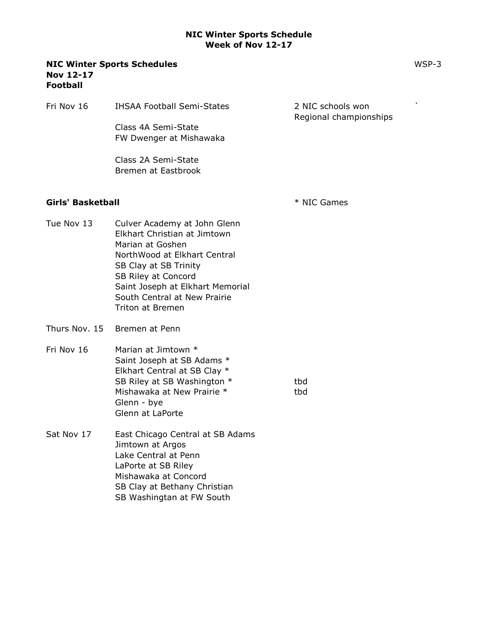## **NIC Winter Sports Schedules** WSP-3 Nov 12-17 Football

| Fri Nov 16               | <b>IHSAA Football Semi-States</b>                                                                                                                                                                                                                               | $\mathbf{r}$<br>2 NIC schools won<br>Regional championships |
|--------------------------|-----------------------------------------------------------------------------------------------------------------------------------------------------------------------------------------------------------------------------------------------------------------|-------------------------------------------------------------|
|                          | Class 4A Semi-State<br>FW Dwenger at Mishawaka                                                                                                                                                                                                                  |                                                             |
|                          | Class 2A Semi-State<br>Bremen at Eastbrook                                                                                                                                                                                                                      |                                                             |
| <b>Girls' Basketball</b> |                                                                                                                                                                                                                                                                 | * NIC Games                                                 |
| Tue Nov 13               | Culver Academy at John Glenn<br>Elkhart Christian at Jimtown<br>Marian at Goshen<br>NorthWood at Elkhart Central<br>SB Clay at SB Trinity<br>SB Riley at Concord<br>Saint Joseph at Elkhart Memorial<br>South Central at New Prairie<br><b>Triton at Bremen</b> |                                                             |
| Thurs Nov. 15            | Bremen at Penn                                                                                                                                                                                                                                                  |                                                             |
| Fri Nov 16               | Marian at Jimtown *<br>Saint Joseph at SB Adams *<br>Elkhart Central at SB Clay *<br>SB Riley at SB Washington *<br>Mishawaka at New Prairie *<br>Glenn - bye<br>Glenn at LaPorte                                                                               | tbd<br>tbd                                                  |
| Sat Nov 17               | East Chicago Central at SB Adams<br>Jimtown at Argos<br>Lake Central at Penn<br>LaPorte at SB Riley<br>Mishawaka at Concord<br>SB Clay at Bethany Christian<br>SB Washingtan at FW South                                                                        |                                                             |